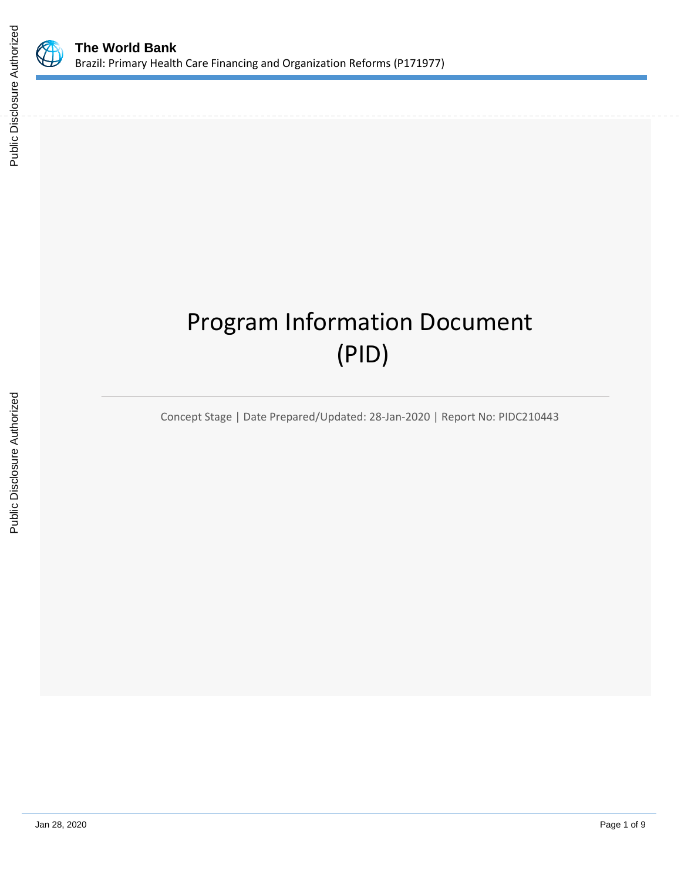

# Program Information Document (PID)

Concept Stage | Date Prepared/Updated: 28-Jan-2020 | Report No: PIDC210443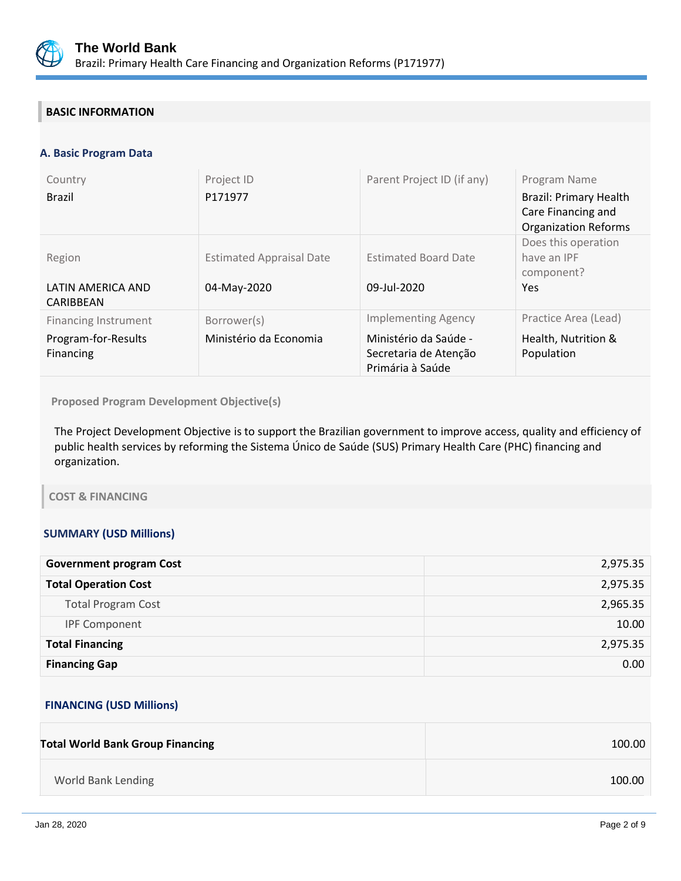

## **BASIC INFORMATION**

## **A. Basic Program Data**

| Country<br><b>Brazil</b>                                        | Project ID<br>P171977                          | Parent Project ID (if any)                                                                       | Program Name<br><b>Brazil: Primary Health</b><br>Care Financing and<br><b>Organization Reforms</b> |
|-----------------------------------------------------------------|------------------------------------------------|--------------------------------------------------------------------------------------------------|----------------------------------------------------------------------------------------------------|
| Region<br>LATIN AMERICA AND<br>CARIBBEAN                        | <b>Estimated Appraisal Date</b><br>04-May-2020 | <b>Estimated Board Date</b><br>09-Jul-2020                                                       | Does this operation<br>have an IPF<br>component?<br>Yes                                            |
| <b>Financing Instrument</b><br>Program-for-Results<br>Financing | Borrower(s)<br>Ministério da Economia          | <b>Implementing Agency</b><br>Ministério da Saúde -<br>Secretaria de Atenção<br>Primária à Saúde | Practice Area (Lead)<br>Health, Nutrition &<br>Population                                          |

**Proposed Program Development Objective(s)** 

The Project Development Objective is to support the Brazilian government to improve access, quality and efficiency of public health services by reforming the Sistema Único de Saúde (SUS) Primary Health Care (PHC) financing and organization.

## **COST & FINANCING**

## **SUMMARY (USD Millions)**

| <b>Government program Cost</b> | 2,975.35 |
|--------------------------------|----------|
| <b>Total Operation Cost</b>    | 2,975.35 |
| <b>Total Program Cost</b>      | 2,965.35 |
| <b>IPF Component</b>           | 10.00    |
| <b>Total Financing</b>         | 2,975.35 |
| <b>Financing Gap</b>           | 0.00     |

## **FINANCING (USD Millions)**

| <b>Total World Bank Group Financing</b> | 100.00 |
|-----------------------------------------|--------|
| World Bank Lending                      | 100.00 |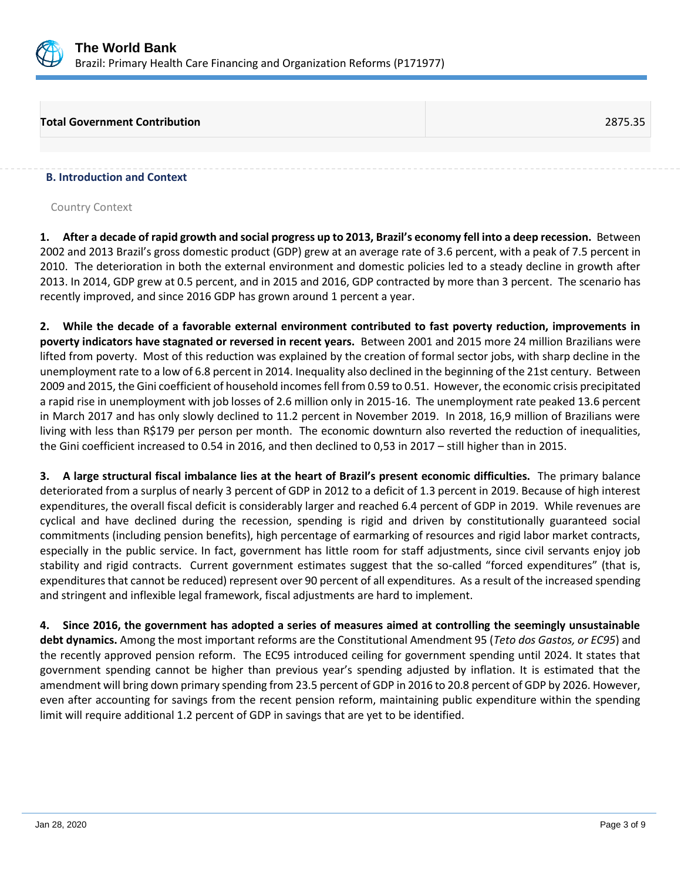

## **Total Government Contribution** 2875.35

#### **B. Introduction and Context**

Country Context

**1. After a decade of rapid growth and social progress up to 2013, Brazil's economy fell into a deep recession.** Between 2002 and 2013 Brazil's gross domestic product (GDP) grew at an average rate of 3.6 percent, with a peak of 7.5 percent in 2010. The deterioration in both the external environment and domestic policies led to a steady decline in growth after 2013. In 2014, GDP grew at 0.5 percent, and in 2015 and 2016, GDP contracted by more than 3 percent. The scenario has recently improved, and since 2016 GDP has grown around 1 percent a year.

**2. While the decade of a favorable external environment contributed to fast poverty reduction, improvements in poverty indicators have stagnated or reversed in recent years.** Between 2001 and 2015 more 24 million Brazilians were lifted from poverty. Most of this reduction was explained by the creation of formal sector jobs, with sharp decline in the unemployment rate to a low of 6.8 percent in 2014. Inequality also declined in the beginning of the 21st century. Between 2009 and 2015, the Gini coefficient of household incomes fell from 0.59 to 0.51. However, the economic crisis precipitated a rapid rise in unemployment with job losses of 2.6 million only in 2015-16. The unemployment rate peaked 13.6 percent in March 2017 and has only slowly declined to 11.2 percent in November 2019. In 2018, 16,9 million of Brazilians were living with less than R\$179 per person per month. The economic downturn also reverted the reduction of inequalities, the Gini coefficient increased to 0.54 in 2016, and then declined to 0,53 in 2017 – still higher than in 2015.

**3. A large structural fiscal imbalance lies at the heart of Brazil's present economic difficulties.** The primary balance deteriorated from a surplus of nearly 3 percent of GDP in 2012 to a deficit of 1.3 percent in 2019. Because of high interest expenditures, the overall fiscal deficit is considerably larger and reached 6.4 percent of GDP in 2019. While revenues are cyclical and have declined during the recession, spending is rigid and driven by constitutionally guaranteed social commitments (including pension benefits), high percentage of earmarking of resources and rigid labor market contracts, especially in the public service. In fact, government has little room for staff adjustments, since civil servants enjoy job stability and rigid contracts. Current government estimates suggest that the so-called "forced expenditures" (that is, expenditures that cannot be reduced) represent over 90 percent of all expenditures. As a result of the increased spending and stringent and inflexible legal framework, fiscal adjustments are hard to implement.

**4. Since 2016, the government has adopted a series of measures aimed at controlling the seemingly unsustainable debt dynamics.** Among the most important reforms are the Constitutional Amendment 95 (*Teto dos Gastos, or EC95*) and the recently approved pension reform. The EC95 introduced ceiling for government spending until 2024. It states that government spending cannot be higher than previous year's spending adjusted by inflation. It is estimated that the amendment will bring down primary spending from 23.5 percent of GDP in 2016 to 20.8 percent of GDP by 2026. However, even after accounting for savings from the recent pension reform, maintaining public expenditure within the spending limit will require additional 1.2 percent of GDP in savings that are yet to be identified.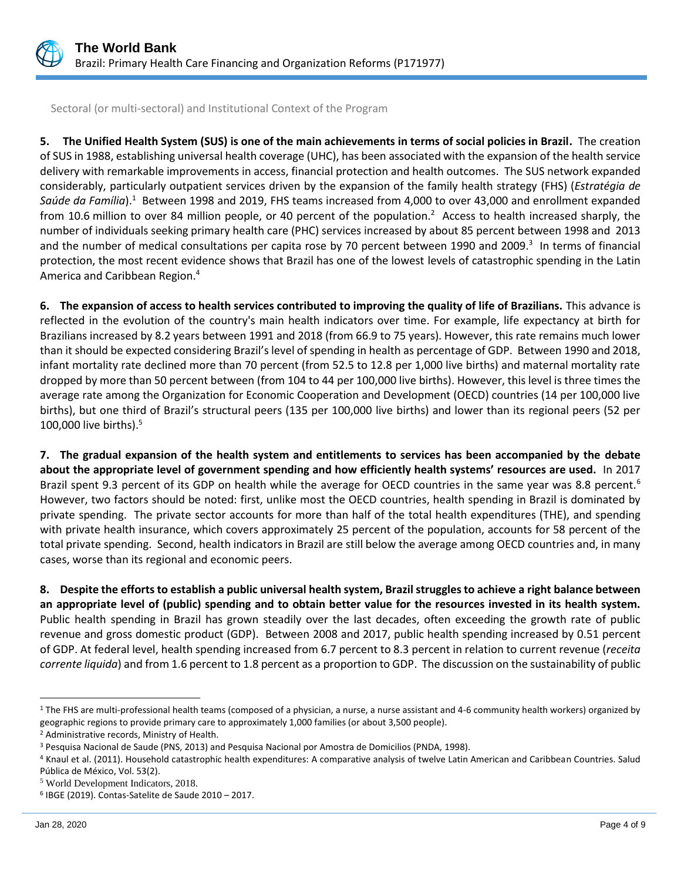

Sectoral (or multi-sectoral) and Institutional Context of the Program

**5. The Unified Health System (SUS) is one of the main achievements in terms of social policies in Brazil.** The creation of SUS in 1988, establishing universal health coverage (UHC), has been associated with the expansion of the health service delivery with remarkable improvements in access, financial protection and health outcomes. The SUS network expanded considerably, particularly outpatient services driven by the expansion of the family health strategy (FHS) (*Estratégia de*  Saúde da Família).<sup>1</sup> Between 1998 and 2019, FHS teams increased from 4,000 to over 43,000 and enrollment expanded from 10.6 million to over 84 million people, or 40 percent of the population.<sup>2</sup> Access to health increased sharply, the number of individuals seeking primary health care (PHC) services increased by about 85 percent between 1998 and 2013 and the number of medical consultations per capita rose by 70 percent between 1990 and 2009.<sup>3</sup> In terms of financial protection, the most recent evidence shows that Brazil has one of the lowest levels of catastrophic spending in the Latin America and Caribbean Region.<sup>4</sup>

**6. The expansion of access to health services contributed to improving the quality of life of Brazilians.** This advance is reflected in the evolution of the country's main health indicators over time. For example, life expectancy at birth for Brazilians increased by 8.2 years between 1991 and 2018 (from 66.9 to 75 years). However, this rate remains much lower than it should be expected considering Brazil's level of spending in health as percentage of GDP. Between 1990 and 2018, infant mortality rate declined more than 70 percent (from 52.5 to 12.8 per 1,000 live births) and maternal mortality rate dropped by more than 50 percent between (from 104 to 44 per 100,000 live births). However, this level is three times the average rate among the Organization for Economic Cooperation and Development (OECD) countries (14 per 100,000 live births), but one third of Brazil's structural peers (135 per 100,000 live births) and lower than its regional peers (52 per 100,000 live births). $5$ 

**7. The gradual expansion of the health system and entitlements to services has been accompanied by the debate about the appropriate level of government spending and how efficiently health systems' resources are used.** In 2017 Brazil spent 9.3 percent of its GDP on health while the average for OECD countries in the same year was 8.8 percent.<sup>6</sup> However, two factors should be noted: first, unlike most the OECD countries, health spending in Brazil is dominated by private spending. The private sector accounts for more than half of the total health expenditures (THE), and spending with private health insurance, which covers approximately 25 percent of the population, accounts for 58 percent of the total private spending. Second, health indicators in Brazil are still below the average among OECD countries and, in many cases, worse than its regional and economic peers.

**8. Despite the efforts to establish a public universal health system, Brazil struggles to achieve a right balance between an appropriate level of (public) spending and to obtain better value for the resources invested in its health system.**  Public health spending in Brazil has grown steadily over the last decades, often exceeding the growth rate of public revenue and gross domestic product (GDP). Between 2008 and 2017, public health spending increased by 0.51 percent of GDP. At federal level, health spending increased from 6.7 percent to 8.3 percent in relation to current revenue (*receita corrente liquida*) and from 1.6 percent to 1.8 percent as a proportion to GDP. The discussion on the sustainability of public

<sup>&</sup>lt;sup>1</sup> The FHS are multi-professional health teams (composed of a physician, a nurse, a nurse assistant and 4-6 community health workers) organized by geographic regions to provide primary care to approximately 1,000 families (or about 3,500 people).

<sup>2</sup> Administrative records, Ministry of Health.

<sup>3</sup> Pesquisa Nacional de Saude (PNS, 2013) and Pesquisa Nacional por Amostra de Domicilios (PNDA, 1998).

<sup>4</sup> Knaul et al. (2011). Household catastrophic health expenditures: A comparative analysis of twelve Latin American and Caribbean Countries. Salud Pública de México, Vol. 53(2).

<sup>5</sup> World Development Indicators, 2018.

<sup>6</sup> IBGE (2019). Contas-Satelite de Saude 2010 – 2017.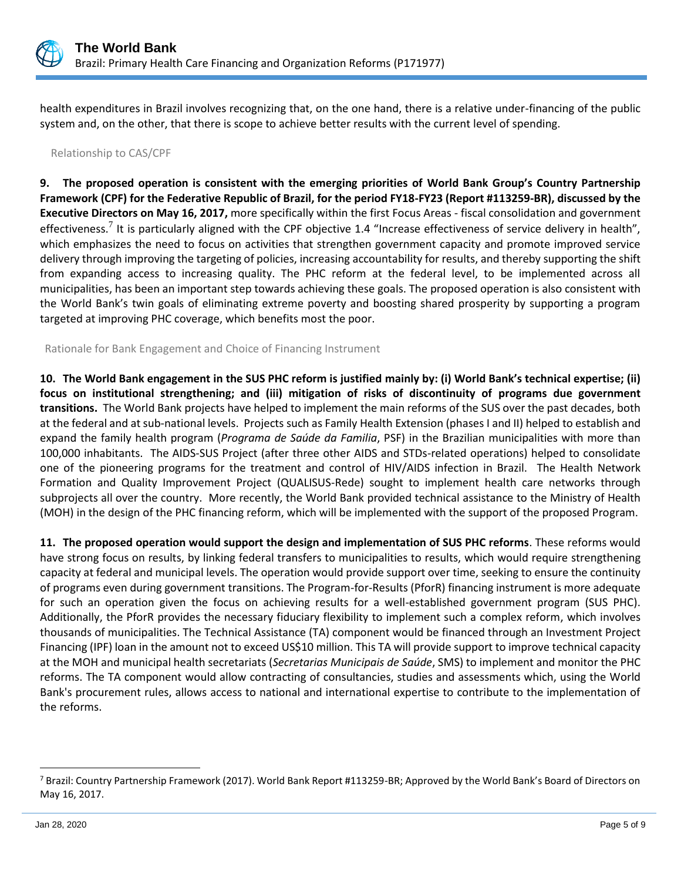

health expenditures in Brazil involves recognizing that, on the one hand, there is a relative under-financing of the public system and, on the other, that there is scope to achieve better results with the current level of spending.

## Relationship to CAS/CPF

**9. The proposed operation is consistent with the emerging priorities of World Bank Group's Country Partnership Framework (CPF) for the Federative Republic of Brazil, for the period FY18-FY23 (Report #113259-BR), discussed by the Executive Directors on May 16, 2017,** more specifically within the first Focus Areas - fiscal consolidation and government effectiveness.<sup>7</sup> It is particularly aligned with the CPF objective 1.4 "Increase effectiveness of service delivery in health", which emphasizes the need to focus on activities that strengthen government capacity and promote improved service delivery through improving the targeting of policies, increasing accountability for results, and thereby supporting the shift from expanding access to increasing quality. The PHC reform at the federal level, to be implemented across all municipalities, has been an important step towards achieving these goals. The proposed operation is also consistent with the World Bank's twin goals of eliminating extreme poverty and boosting shared prosperity by supporting a program targeted at improving PHC coverage, which benefits most the poor.

Rationale for Bank Engagement and Choice of Financing Instrument

**10. The World Bank engagement in the SUS PHC reform is justified mainly by: (i) World Bank's technical expertise; (ii) focus on institutional strengthening; and (iii) mitigation of risks of discontinuity of programs due government transitions.** The World Bank projects have helped to implement the main reforms of the SUS over the past decades, both at the federal and at sub-national levels. Projects such as Family Health Extension (phases I and II) helped to establish and expand the family health program (*Programa de Saúde da Familia*, PSF) in the Brazilian municipalities with more than 100,000 inhabitants. The AIDS-SUS Project (after three other AIDS and STDs-related operations) helped to consolidate one of the pioneering programs for the treatment and control of HIV/AIDS infection in Brazil. The Health Network Formation and Quality Improvement Project (QUALISUS-Rede) sought to implement health care networks through subprojects all over the country. More recently, the World Bank provided technical assistance to the Ministry of Health (MOH) in the design of the PHC financing reform, which will be implemented with the support of the proposed Program.

**11. The proposed operation would support the design and implementation of SUS PHC reforms**. These reforms would have strong focus on results, by linking federal transfers to municipalities to results, which would require strengthening capacity at federal and municipal levels. The operation would provide support over time, seeking to ensure the continuity of programs even during government transitions. The Program-for-Results (PforR) financing instrument is more adequate for such an operation given the focus on achieving results for a well-established government program (SUS PHC). Additionally, the PforR provides the necessary fiduciary flexibility to implement such a complex reform, which involves thousands of municipalities. The Technical Assistance (TA) component would be financed through an Investment Project Financing (IPF) loan in the amount not to exceed US\$10 million. This TA will provide support to improve technical capacity at the MOH and municipal health secretariats (*Secretarias Municipais de Saúde*, SMS) to implement and monitor the PHC reforms. The TA component would allow contracting of consultancies, studies and assessments which, using the World Bank's procurement rules, allows access to national and international expertise to contribute to the implementation of the reforms.

<sup>&</sup>lt;sup>7</sup> Brazil: Country Partnership Framework (2017). World Bank Report #113259-BR; Approved by the World Bank's Board of Directors on May 16, 2017.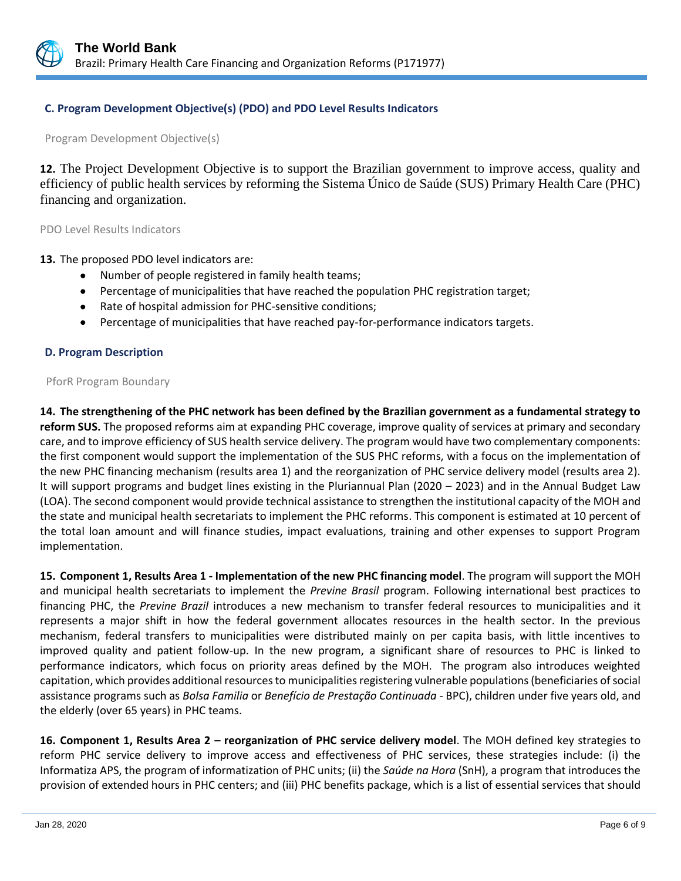

## **C. Program Development Objective(s) (PDO) and PDO Level Results Indicators**

Program Development Objective(s)

**12.** The Project Development Objective is to support the Brazilian government to improve access, quality and efficiency of public health services by reforming the Sistema Único de Saúde (SUS) Primary Health Care (PHC) financing and organization.

PDO Level Results Indicators

**13.** The proposed PDO level indicators are:

- Number of people registered in family health teams;
- Percentage of municipalities that have reached the population PHC registration target;
- Rate of hospital admission for PHC-sensitive conditions;
- Percentage of municipalities that have reached pay-for-performance indicators targets.

#### **D. Program Description**

#### PforR Program Boundary

**14. The strengthening of the PHC network has been defined by the Brazilian government as a fundamental strategy to reform SUS.** The proposed reforms aim at expanding PHC coverage, improve quality of services at primary and secondary care, and to improve efficiency of SUS health service delivery. The program would have two complementary components: the first component would support the implementation of the SUS PHC reforms, with a focus on the implementation of the new PHC financing mechanism (results area 1) and the reorganization of PHC service delivery model (results area 2). It will support programs and budget lines existing in the Pluriannual Plan (2020 – 2023) and in the Annual Budget Law (LOA). The second component would provide technical assistance to strengthen the institutional capacity of the MOH and the state and municipal health secretariats to implement the PHC reforms. This component is estimated at 10 percent of the total loan amount and will finance studies, impact evaluations, training and other expenses to support Program implementation.

**15. Component 1, Results Area 1 - Implementation of the new PHC financing model**. The program will support the MOH and municipal health secretariats to implement the *Previne Brasil* program. Following international best practices to financing PHC, the *Previne Brazil* introduces a new mechanism to transfer federal resources to municipalities and it represents a major shift in how the federal government allocates resources in the health sector. In the previous mechanism, federal transfers to municipalities were distributed mainly on per capita basis, with little incentives to improved quality and patient follow-up. In the new program, a significant share of resources to PHC is linked to performance indicators, which focus on priority areas defined by the MOH. The program also introduces weighted capitation, which provides additional resources to municipalities registering vulnerable populations (beneficiaries of social assistance programs such as *Bolsa Familia* or *Benefício de Prestação Continuada* - BPC), children under five years old, and the elderly (over 65 years) in PHC teams.

**16. Component 1, Results Area 2 – reorganization of PHC service delivery model**. The MOH defined key strategies to reform PHC service delivery to improve access and effectiveness of PHC services, these strategies include: (i) the Informatiza APS, the program of informatization of PHC units; (ii) the *Saúde na Hora* (SnH), a program that introduces the provision of extended hours in PHC centers; and (iii) PHC benefits package, which is a list of essential services that should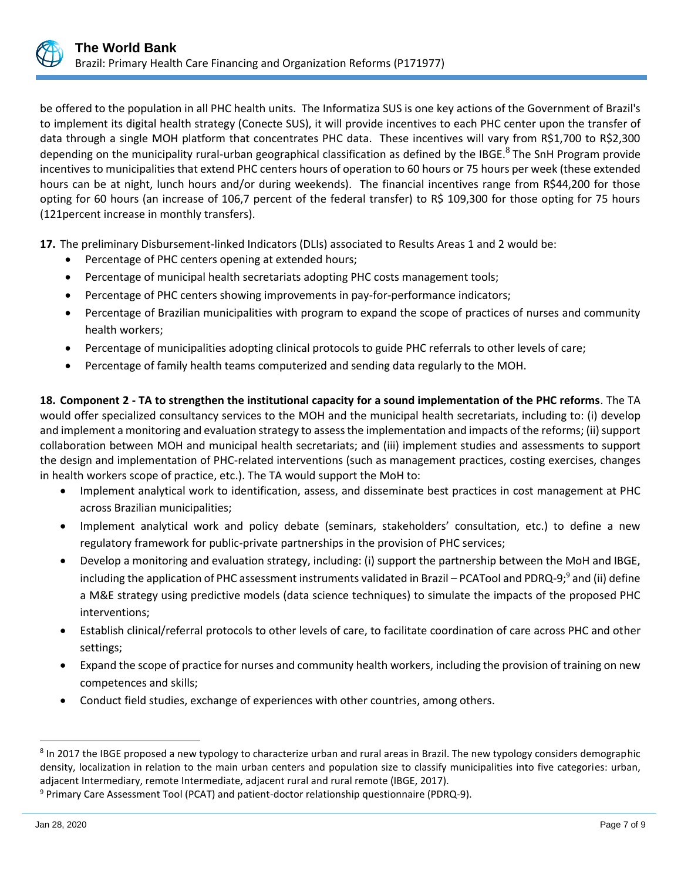be offered to the population in all PHC health units. The Informatiza SUS is one key actions of the Government of Brazil's to implement its digital health strategy (Conecte SUS), it will provide incentives to each PHC center upon the transfer of data through a single MOH platform that concentrates PHC data. These incentives will vary from R\$1,700 to R\$2,300 depending on the municipality rural-urban geographical classification as defined by the IBGE.<sup>8</sup> The SnH Program provide incentives to municipalities that extend PHC centers hours of operation to 60 hours or 75 hours per week (these extended hours can be at night, lunch hours and/or during weekends). The financial incentives range from R\$44,200 for those opting for 60 hours (an increase of 106,7 percent of the federal transfer) to R\$ 109,300 for those opting for 75 hours (121percent increase in monthly transfers).

**17.** The preliminary Disbursement-linked Indicators (DLIs) associated to Results Areas 1 and 2 would be:

- Percentage of PHC centers opening at extended hours;
- Percentage of municipal health secretariats adopting PHC costs management tools;
- Percentage of PHC centers showing improvements in pay-for-performance indicators;
- Percentage of Brazilian municipalities with program to expand the scope of practices of nurses and community health workers;
- Percentage of municipalities adopting clinical protocols to guide PHC referrals to other levels of care;
- Percentage of family health teams computerized and sending data regularly to the MOH.

**18. Component 2 - TA to strengthen the institutional capacity for a sound implementation of the PHC reforms**. The TA would offer specialized consultancy services to the MOH and the municipal health secretariats, including to: (i) develop and implement a monitoring and evaluation strategy to assess the implementation and impacts of the reforms; (ii) support collaboration between MOH and municipal health secretariats; and (iii) implement studies and assessments to support the design and implementation of PHC-related interventions (such as management practices, costing exercises, changes in health workers scope of practice, etc.). The TA would support the MoH to:

- Implement analytical work to identification, assess, and disseminate best practices in cost management at PHC across Brazilian municipalities;
- Implement analytical work and policy debate (seminars, stakeholders' consultation, etc.) to define a new regulatory framework for public-private partnerships in the provision of PHC services;
- Develop a monitoring and evaluation strategy, including: (i) support the partnership between the MoH and IBGE, including the application of PHC assessment instruments validated in Brazil – PCATool and PDRQ-9;<sup>9</sup> and (ii) define a M&E strategy using predictive models (data science techniques) to simulate the impacts of the proposed PHC interventions;
- Establish clinical/referral protocols to other levels of care, to facilitate coordination of care across PHC and other settings;
- Expand the scope of practice for nurses and community health workers, including the provision of training on new competences and skills;
- Conduct field studies, exchange of experiences with other countries, among others.

<sup>&</sup>lt;sup>8</sup> In 2017 the IBGE proposed a new typology to characterize urban and rural areas in Brazil. The new typology considers demographic density, localization in relation to the main urban centers and population size to classify municipalities into five categories: urban, adjacent Intermediary, remote Intermediate, adjacent rural and rural remote (IBGE, 2017).

<sup>9</sup> Primary Care Assessment Tool (PCAT) and patient-doctor relationship questionnaire (PDRQ-9).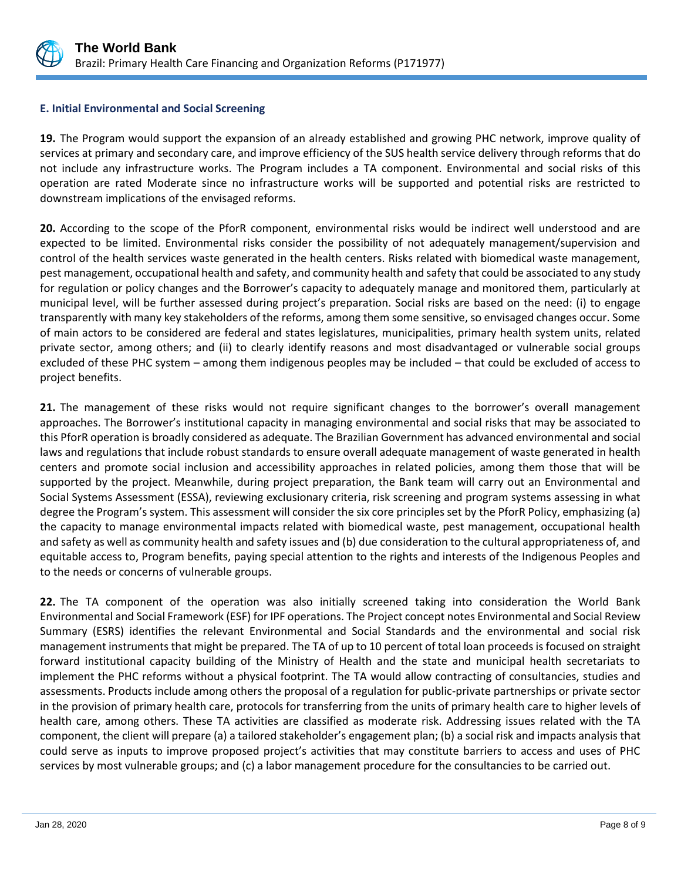

## **E. Initial Environmental and Social Screening**

**19.** The Program would support the expansion of an already established and growing PHC network, improve quality of services at primary and secondary care, and improve efficiency of the SUS health service delivery through reforms that do not include any infrastructure works. The Program includes a TA component. Environmental and social risks of this operation are rated Moderate since no infrastructure works will be supported and potential risks are restricted to downstream implications of the envisaged reforms.

**20.** According to the scope of the PforR component, environmental risks would be indirect well understood and are expected to be limited. Environmental risks consider the possibility of not adequately management/supervision and control of the health services waste generated in the health centers. Risks related with biomedical waste management, pest management, occupational health and safety, and community health and safety that could be associated to any study for regulation or policy changes and the Borrower's capacity to adequately manage and monitored them, particularly at municipal level, will be further assessed during project's preparation. Social risks are based on the need: (i) to engage transparently with many key stakeholders of the reforms, among them some sensitive, so envisaged changes occur. Some of main actors to be considered are federal and states legislatures, municipalities, primary health system units, related private sector, among others; and (ii) to clearly identify reasons and most disadvantaged or vulnerable social groups excluded of these PHC system – among them indigenous peoples may be included – that could be excluded of access to project benefits.

**21.** The management of these risks would not require significant changes to the borrower's overall management approaches. The Borrower's institutional capacity in managing environmental and social risks that may be associated to this PforR operation is broadly considered as adequate. The Brazilian Government has advanced environmental and social laws and regulations that include robust standards to ensure overall adequate management of waste generated in health centers and promote social inclusion and accessibility approaches in related policies, among them those that will be supported by the project. Meanwhile, during project preparation, the Bank team will carry out an Environmental and Social Systems Assessment (ESSA), reviewing exclusionary criteria, risk screening and program systems assessing in what degree the Program's system. This assessment will consider the six core principles set by the PforR Policy, emphasizing (a) the capacity to manage environmental impacts related with biomedical waste, pest management, occupational health and safety as well as community health and safety issues and (b) due consideration to the cultural appropriateness of, and equitable access to, Program benefits, paying special attention to the rights and interests of the Indigenous Peoples and to the needs or concerns of vulnerable groups.

**22.** The TA component of the operation was also initially screened taking into consideration the World Bank Environmental and Social Framework (ESF) for IPF operations. The Project concept notes Environmental and Social Review Summary (ESRS) identifies the relevant Environmental and Social Standards and the environmental and social risk management instruments that might be prepared. The TA of up to 10 percent of total loan proceeds is focused on straight forward institutional capacity building of the Ministry of Health and the state and municipal health secretariats to implement the PHC reforms without a physical footprint. The TA would allow contracting of consultancies, studies and assessments. Products include among others the proposal of a regulation for public-private partnerships or private sector in the provision of primary health care, protocols for transferring from the units of primary health care to higher levels of health care, among others. These TA activities are classified as moderate risk. Addressing issues related with the TA component, the client will prepare (a) a tailored stakeholder's engagement plan; (b) a social risk and impacts analysis that could serve as inputs to improve proposed project's activities that may constitute barriers to access and uses of PHC services by most vulnerable groups; and (c) a labor management procedure for the consultancies to be carried out.